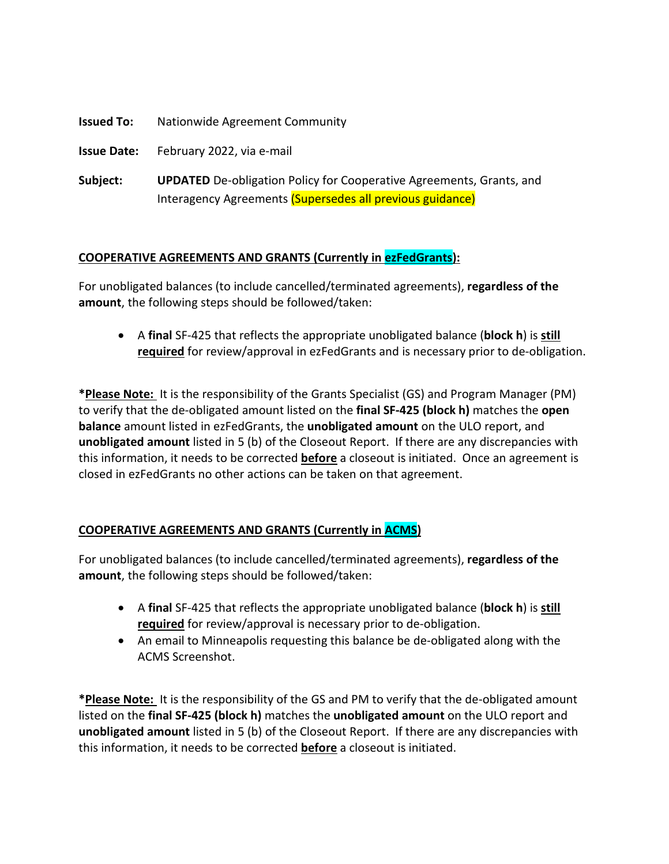**Issued To:** Nationwide Agreement Community

**Issue Date:** February 2022, via e-mail

**Subject: UPDATED** De-obligation Policy for Cooperative Agreements, Grants, and Interagency Agreements (Supersedes all previous guidance)

#### **COOPERATIVE AGREEMENTS AND GRANTS (Currently in ezFedGrants):**

For unobligated balances (to include cancelled/terminated agreements), **regardless of the amount**, the following steps should be followed/taken:

• A **final** SF-425 that reflects the appropriate unobligated balance (**block h**) is **still required** for review/approval in ezFedGrants and is necessary prior to de-obligation.

**\*Please Note:** It is the responsibility of the Grants Specialist (GS) and Program Manager (PM) to verify that the de-obligated amount listed on the **final SF-425 (block h)** matches the **open balance** amount listed in ezFedGrants, the **unobligated amount** on the ULO report, and **unobligated amount** listed in 5 (b) of the Closeout Report. If there are any discrepancies with this information, it needs to be corrected **before** a closeout is initiated. Once an agreement is closed in ezFedGrants no other actions can be taken on that agreement.

#### **COOPERATIVE AGREEMENTS AND GRANTS (Currently in ACMS)**

For unobligated balances (to include cancelled/terminated agreements), **regardless of the amount**, the following steps should be followed/taken:

- A **final** SF-425 that reflects the appropriate unobligated balance (**block h**) is **still required** for review/approval is necessary prior to de-obligation.
- An email to Minneapolis requesting this balance be de-obligated along with the ACMS Screenshot.

**\*Please Note:** It is the responsibility of the GS and PM to verify that the de-obligated amount listed on the **final SF-425 (block h)** matches the **unobligated amount** on the ULO report and **unobligated amount** listed in 5 (b) of the Closeout Report. If there are any discrepancies with this information, it needs to be corrected **before** a closeout is initiated.